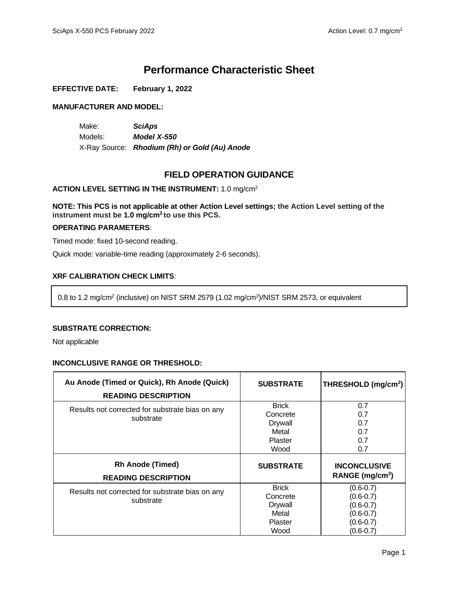# **Performance Characteristic Sheet**

### **EFFECTIVE DATE: February 1, 2022**

### **MANUFACTURER AND MODEL:**

Make: *SciAps* Models: *Model X-550* X-Ray Source: *Rhodium (Rh) or Gold (Au) Anode*

# **FIELD OPERATION GUIDANCE**

### **ACTION LEVEL SETTING IN THE INSTRUMENT:** 1.0 mg/cm<sup>2</sup>

**NOTE: This PCS is not applicable at other Action Level settings; the Action Level setting of the instrument must be 1.0 mg/cm<sup>2</sup> to use this PCS.**

### **OPERATING PARAMETERS**:

Timed mode: fixed 10-second reading.

Quick mode: variable-time reading (approximately 2-6 seconds).

## **XRF CALIBRATION CHECK LIMITS**:

0.8 to 1.2 mg/cm<sup>2</sup> (inclusive) on NIST SRM 2579 (1.02 mg/cm<sup>2</sup> )/NIST SRM 2573, or equivalent

#### **SUBSTRATE CORRECTION:**

Not applicable

#### **INCONCLUSIVE RANGE OR THRESHOLD:**

| Au Anode (Timed or Quick), Rh Anode (Quick)<br><b>READING DESCRIPTION</b> | <b>SUBSTRATE</b>                                                       | THRESHOLD (mg/cm <sup>2</sup> )                                                                    |
|---------------------------------------------------------------------------|------------------------------------------------------------------------|----------------------------------------------------------------------------------------------------|
| Results not corrected for substrate bias on any<br>substrate              | <b>Brick</b><br>Concrete<br><b>Drywall</b><br>Metal<br>Plaster<br>Wood | 0.7<br>0.7<br>0.7<br>0.7<br>0.7<br>0.7                                                             |
| <b>Rh Anode (Timed)</b><br><b>READING DESCRIPTION</b>                     | <b>SUBSTRATE</b>                                                       | <b>INCONCLUSIVE</b><br>RANGE (mg/cm <sup>2</sup> )                                                 |
| Results not corrected for substrate bias on any<br>substrate              | <b>Brick</b><br>Concrete<br><b>Drywall</b><br>Metal<br>Plaster<br>Wood | $(0.6 - 0.7)$<br>$(0.6 - 0.7)$<br>$(0.6 - 0.7)$<br>$(0.6 - 0.7)$<br>$(0.6 - 0.7)$<br>$(0.6 - 0.7)$ |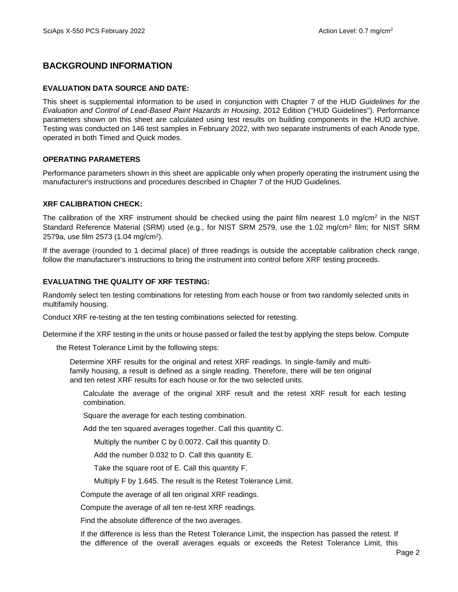# **BACKGROUND INFORMATION**

### **EVALUATION DATA SOURCE AND DATE:**

This sheet is supplemental information to be used in conjunction with Chapter 7 of the HUD *Guidelines for the Evaluation and Control of Lead-Based Paint Hazards in Housing*, 2012 Edition ("HUD Guidelines"). Performance parameters shown on this sheet are calculated using test results on building components in the HUD archive. Testing was conducted on 146 test samples in February 2022, with two separate instruments of each Anode type, operated in both Timed and Quick modes.

### **OPERATING PARAMETERS**

Performance parameters shown in this sheet are applicable only when properly operating the instrument using the manufacturer's instructions and procedures described in Chapter 7 of the HUD Guidelines.

### **XRF CALIBRATION CHECK:**

The calibration of the XRF instrument should be checked using the paint film nearest 1.0 mg/cm<sup>2</sup> in the NIST Standard Reference Material (SRM) used (e.g., for NIST SRM 2579, use the 1.02 mg/cm<sup>2</sup> film; for NIST SRM 2579a, use film 2573 (1.04 mg/cm<sup>2</sup>).

If the average (rounded to 1 decimal place) of three readings is outside the acceptable calibration check range, follow the manufacturer's instructions to bring the instrument into control before XRF testing proceeds.

### **EVALUATING THE QUALITY OF XRF TESTING:**

Randomly select ten testing combinations for retesting from each house or from two randomly selected units in multifamily housing.

Conduct XRF re-testing at the ten testing combinations selected for retesting.

Determine if the XRF testing in the units or house passed or failed the test by applying the steps below. Compute

the Retest Tolerance Limit by the following steps:

Determine XRF results for the original and retest XRF readings. In single-family and multifamily housing, a result is defined as a single reading. Therefore, there will be ten original and ten retest XRF results for each house or for the two selected units.

Calculate the average of the original XRF result and the retest XRF result for each testing combination.

Square the average for each testing combination.

Add the ten squared averages together. Call this quantity C.

Multiply the number C by 0.0072. Call this quantity D.

Add the number 0.032 to D. Call this quantity E.

Take the square root of E. Call this quantity F.

Multiply F by 1.645. The result is the Retest Tolerance Limit.

Compute the average of all ten original XRF readings.

Compute the average of all ten re-test XRF readings.

Find the absolute difference of the two averages.

If the difference is less than the Retest Tolerance Limit, the inspection has passed the retest. If the difference of the overall averages equals or exceeds the Retest Tolerance Limit, this